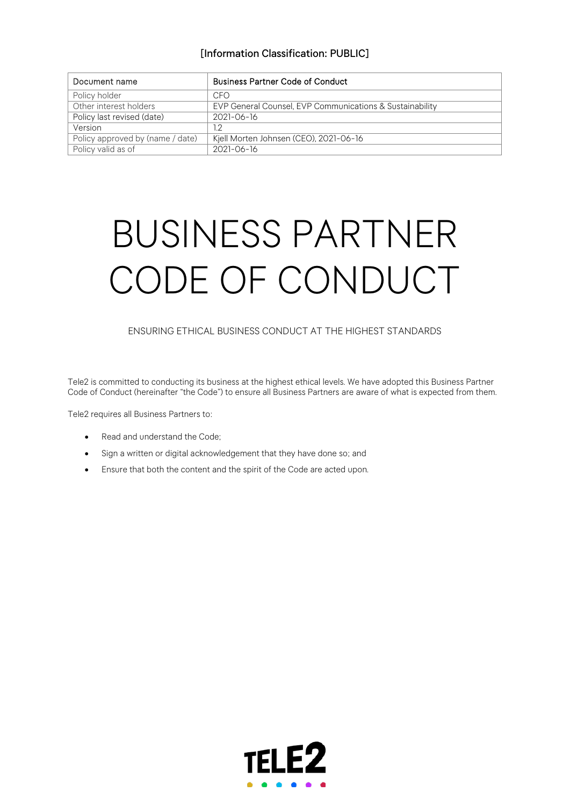| Document name                    | <b>Business Partner Code of Conduct</b>                  |
|----------------------------------|----------------------------------------------------------|
| Policy holder                    | CFO                                                      |
| Other interest holders           | EVP General Counsel, EVP Communications & Sustainability |
| Policy last revised (date)       | $2021 - 06 - 16$                                         |
| Version                          | 1.2                                                      |
| Policy approved by (name / date) | Kjell Morten Johnsen (CEO), 2021-06-16                   |
| Policy valid as of               | $2021 - 06 - 16$                                         |

# BUSINESS PARTNER CODE OF CONDUCT

## ENSURING ETHICAL BUSINESS CONDUCT AT THE HIGHEST STANDARDS

Tele2 is committed to conducting its business at the highest ethical levels. We have adopted this Business Partner Code of Conduct (hereinafter "the Code") to ensure all Business Partners are aware of what is expected from them.

Tele2 requires all Business Partners to:

- Read and understand the Code;
- Sign a written or digital acknowledgement that they have done so; and
- Ensure that both the content and the spirit of the Code are acted upon.

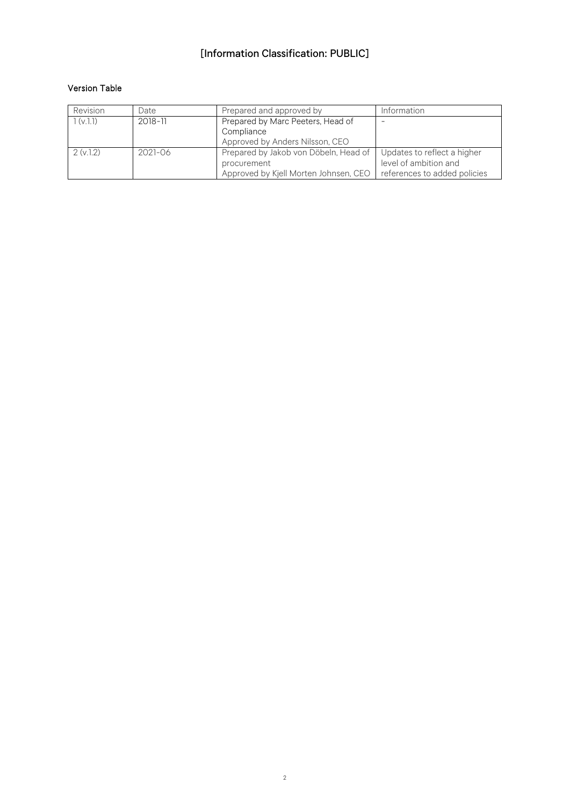## Version Table

| Revision | Date        | Prepared and approved by                                             | Information                 |
|----------|-------------|----------------------------------------------------------------------|-----------------------------|
| 1(v.1.1) | 2018-11     | Prepared by Marc Peeters, Head of                                    |                             |
|          |             | Compliance                                                           |                             |
|          |             | Approved by Anders Nilsson, CEO                                      |                             |
| 2(v.1.2) | $2021 - 06$ | Prepared by Jakob von Döbeln, Head of                                | Updates to reflect a higher |
|          |             | procurement                                                          | level of ambition and       |
|          |             | Approved by Kjell Morten Johnsen, CEO   references to added policies |                             |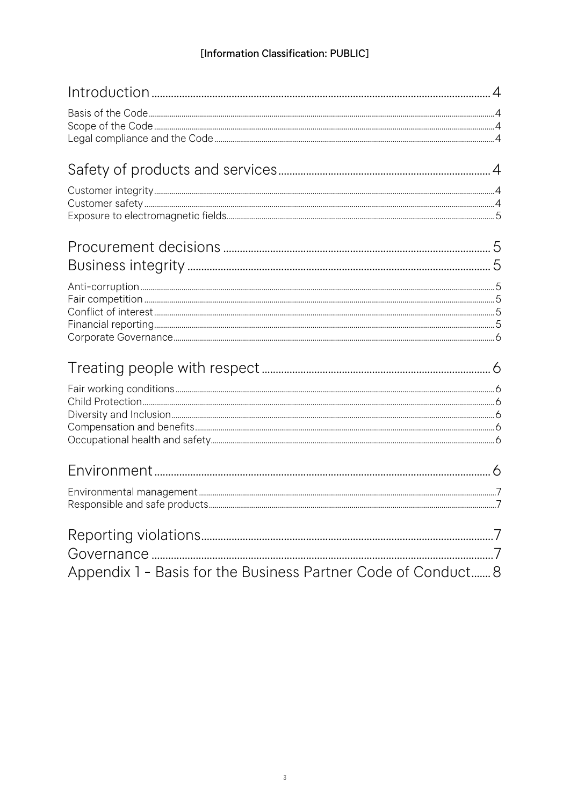| Appendix 1 - Basis for the Business Partner Code of Conduct 8 |  |
|---------------------------------------------------------------|--|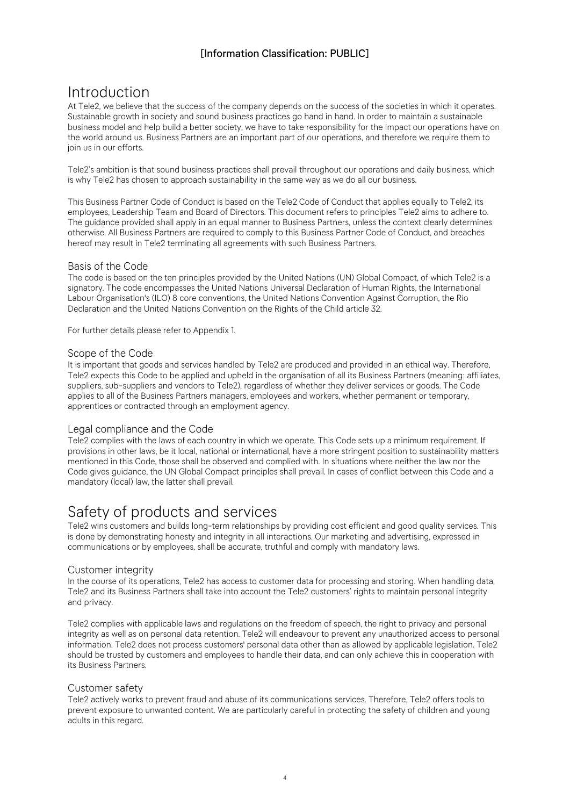# <span id="page-3-0"></span>Introduction

At Tele2, we believe that the success of the company depends on the success of the societies in which it operates. Sustainable growth in society and sound business practices go hand in hand. In order to maintain a sustainable business model and help build a better society, we have to take responsibility for the impact our operations have on the world around us. Business Partners are an important part of our operations, and therefore we require them to join us in our efforts.

Tele2's ambition is that sound business practices shall prevail throughout our operations and daily business, which is why Tele2 has chosen to approach sustainability in the same way as we do all our business.

This Business Partner Code of Conduct is based on the Tele2 Code of Conduct that applies equally to Tele2, its employees, Leadership Team and Board of Directors. This document refers to principles Tele2 aims to adhere to. The guidance provided shall apply in an equal manner to Business Partners, unless the context clearly determines otherwise. All Business Partners are required to comply to this Business Partner Code of Conduct, and breaches hereof may result in Tele2 terminating all agreements with such Business Partners.

## <span id="page-3-1"></span>Basis of the Code

The code is based on the ten principles provided by the United Nations (UN) Global Compact, of which Tele2 is a signatory. The code encompasses the United Nations Universal Declaration of Human Rights, the International Labour Organisation's (ILO) 8 core conventions, the United Nations Convention Against Corruption, the Rio Declaration and the United Nations Convention on the Rights of the Child article 32.

For further details please refer to Appendix 1.

## <span id="page-3-2"></span>Scope of the Code

It is important that goods and services handled by Tele2 are produced and provided in an ethical way. Therefore, Tele2 expects this Code to be applied and upheld in the organisation of all its Business Partners (meaning: affiliates, suppliers, sub-suppliers and vendors to Tele2), regardless of whether they deliver services or goods. The Code applies to all of the Business Partners managers, employees and workers, whether permanent or temporary, apprentices or contracted through an employment agency.

## <span id="page-3-3"></span>Legal compliance and the Code

Tele2 complies with the laws of each country in which we operate. This Code sets up a minimum requirement. If provisions in other laws, be it local, national or international, have a more stringent position to sustainability matters mentioned in this Code, those shall be observed and complied with. In situations where neither the law nor the Code gives guidance, the UN Global Compact principles shall prevail. In cases of conflict between this Code and a mandatory (local) law, the latter shall prevail.

# <span id="page-3-4"></span>Safety of products and services

Tele2 wins customers and builds long-term relationships by providing cost efficient and good quality services. This is done by demonstrating honesty and integrity in all interactions. Our marketing and advertising, expressed in communications or by employees, shall be accurate, truthful and comply with mandatory laws.

## <span id="page-3-5"></span>Customer integrity

In the course of its operations, Tele2 has access to customer data for processing and storing. When handling data, Tele2 and its Business Partners shall take into account the Tele2 customers' rights to maintain personal integrity and privacy.

Tele2 complies with applicable laws and regulations on the freedom of speech, the right to privacy and personal integrity as well as on personal data retention. Tele2 will endeavour to prevent any unauthorized access to personal information. Tele2 does not process customers' personal data other than as allowed by applicable legislation. Tele2 should be trusted by customers and employees to handle their data, and can only achieve this in cooperation with its Business Partners.

## <span id="page-3-6"></span>Customer safety

Tele2 actively works to prevent fraud and abuse of its communications services. Therefore, Tele2 offers tools to prevent exposure to unwanted content. We are particularly careful in protecting the safety of children and young adults in this regard.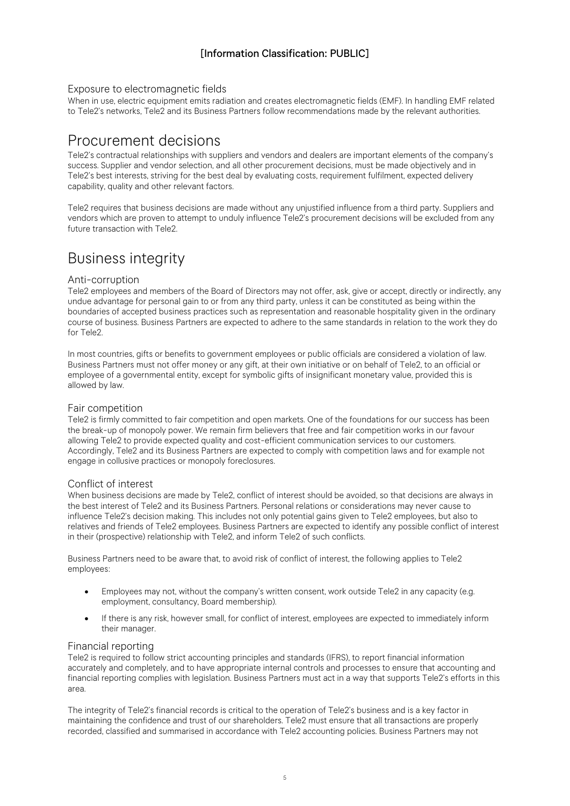## <span id="page-4-0"></span>Exposure to electromagnetic fields

When in use, electric equipment emits radiation and creates electromagnetic fields (EMF). In handling EMF related to Tele2's networks, Tele2 and its Business Partners follow recommendations made by the relevant authorities.

# <span id="page-4-1"></span>Procurement decisions

Tele2's contractual relationships with suppliers and vendors and dealers are important elements of the company's success. Supplier and vendor selection, and all other procurement decisions, must be made objectively and in Tele2's best interests, striving for the best deal by evaluating costs, requirement fulfilment, expected delivery capability, quality and other relevant factors.

Tele2 requires that business decisions are made without any unjustified influence from a third party. Suppliers and vendors which are proven to attempt to unduly influence Tele2's procurement decisions will be excluded from any future transaction with Tele2.

# <span id="page-4-2"></span>Business integrity

## <span id="page-4-3"></span>Anti-corruption

Tele2 employees and members of the Board of Directors may not offer, ask, give or accept, directly or indirectly, any undue advantage for personal gain to or from any third party, unless it can be constituted as being within the boundaries of accepted business practices such as representation and reasonable hospitality given in the ordinary course of business. Business Partners are expected to adhere to the same standards in relation to the work they do for Tele2.

In most countries, gifts or benefits to government employees or public officials are considered a violation of law. Business Partners must not offer money or any gift, at their own initiative or on behalf of Tele2, to an official or employee of a governmental entity, except for symbolic gifts of insignificant monetary value, provided this is allowed by law.

## <span id="page-4-4"></span>Fair competition

Tele2 is firmly committed to fair competition and open markets. One of the foundations for our success has been the break-up of monopoly power. We remain firm believers that free and fair competition works in our favour allowing Tele2 to provide expected quality and cost-efficient communication services to our customers. Accordingly, Tele2 and its Business Partners are expected to comply with competition laws and for example not engage in collusive practices or monopoly foreclosures.

## <span id="page-4-5"></span>Conflict of interest

When business decisions are made by Tele2, conflict of interest should be avoided, so that decisions are always in the best interest of Tele2 and its Business Partners. Personal relations or considerations may never cause to influence Tele2's decision making. This includes not only potential gains given to Tele2 employees, but also to relatives and friends of Tele2 employees. Business Partners are expected to identify any possible conflict of interest in their (prospective) relationship with Tele2, and inform Tele2 of such conflicts.

Business Partners need to be aware that, to avoid risk of conflict of interest, the following applies to Tele2 employees:

- Employees may not, without the company's written consent, work outside Tele2 in any capacity (e.g. employment, consultancy, Board membership).
- If there is any risk, however small, for conflict of interest, employees are expected to immediately inform their manager.

## <span id="page-4-6"></span>Financial reporting

Tele2 is required to follow strict accounting principles and standards (IFRS), to report financial information accurately and completely, and to have appropriate internal controls and processes to ensure that accounting and financial reporting complies with legislation. Business Partners must act in a way that supports Tele2's efforts in this area.

The integrity of Tele2's financial records is critical to the operation of Tele2's business and is a key factor in maintaining the confidence and trust of our shareholders. Tele2 must ensure that all transactions are properly recorded, classified and summarised in accordance with Tele2 accounting policies. Business Partners may not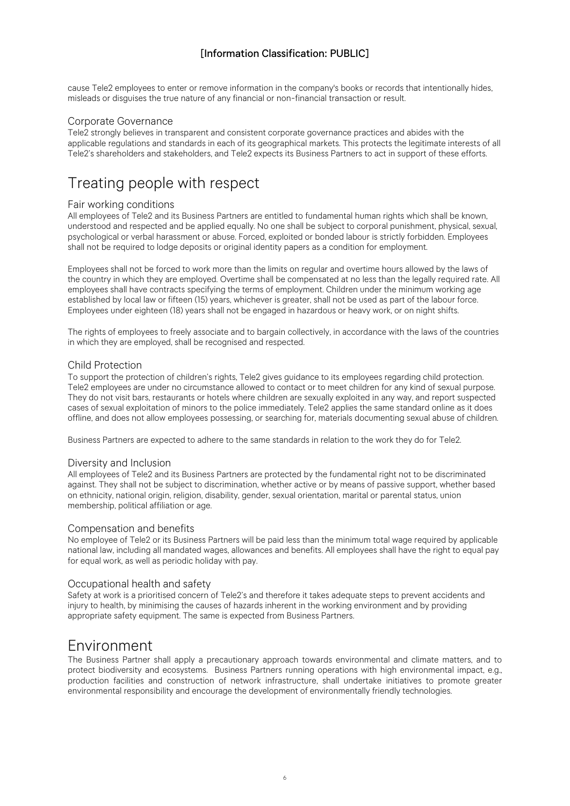cause Tele2 employees to enter or remove information in the company's books or records that intentionally hides, misleads or disguises the true nature of any financial or non-financial transaction or result.

## <span id="page-5-0"></span>Corporate Governance

Tele2 strongly believes in transparent and consistent corporate governance practices and abides with the applicable regulations and standards in each of its geographical markets. This protects the legitimate interests of all Tele2's shareholders and stakeholders, and Tele2 expects its Business Partners to act in support of these efforts.

# <span id="page-5-1"></span>Treating people with respect

## <span id="page-5-2"></span>Fair working conditions

All employees of Tele2 and its Business Partners are entitled to fundamental human rights which shall be known, understood and respected and be applied equally. No one shall be subject to corporal punishment, physical, sexual, psychological or verbal harassment or abuse. Forced, exploited or bonded labour is strictly forbidden. Employees shall not be required to lodge deposits or original identity papers as a condition for employment.

Employees shall not be forced to work more than the limits on regular and overtime hours allowed by the laws of the country in which they are employed. Overtime shall be compensated at no less than the legally required rate. All employees shall have contracts specifying the terms of employment. Children under the minimum working age established by local law or fifteen (15) years, whichever is greater, shall not be used as part of the labour force. Employees under eighteen (18) years shall not be engaged in hazardous or heavy work, or on night shifts.

The rights of employees to freely associate and to bargain collectively, in accordance with the laws of the countries in which they are employed, shall be recognised and respected.

## <span id="page-5-3"></span>Child Protection

To support the protection of children's rights, Tele2 gives guidance to its employees regarding child protection. Tele2 employees are under no circumstance allowed to contact or to meet children for any kind of sexual purpose. They do not visit bars, restaurants or hotels where children are sexually exploited in any way, and report suspected cases of sexual exploitation of minors to the police immediately. Tele2 applies the same standard online as it does offline, and does not allow employees possessing, or searching for, materials documenting sexual abuse of children.

Business Partners are expected to adhere to the same standards in relation to the work they do for Tele2.

#### <span id="page-5-4"></span>Diversity and Inclusion

All employees of Tele2 and its Business Partners are protected by the fundamental right not to be discriminated against. They shall not be subject to discrimination, whether active or by means of passive support, whether based on ethnicity, national origin, religion, disability, gender, sexual orientation, marital or parental status, union membership, political affiliation or age.

## <span id="page-5-5"></span>Compensation and benefits

No employee of Tele2 or its Business Partners will be paid less than the minimum total wage required by applicable national law, including all mandated wages, allowances and benefits. All employees shall have the right to equal pay for equal work, as well as periodic holiday with pay.

## <span id="page-5-6"></span>Occupational health and safety

Safety at work is a prioritised concern of Tele2's and therefore it takes adequate steps to prevent accidents and injury to health, by minimising the causes of hazards inherent in the working environment and by providing appropriate safety equipment. The same is expected from Business Partners.

## <span id="page-5-7"></span>Environment

The Business Partner shall apply a precautionary approach towards environmental and climate matters, and to protect biodiversity and ecosystems. Business Partners running operations with high environmental impact, e.g., production facilities and construction of network infrastructure, shall undertake initiatives to promote greater environmental responsibility and encourage the development of environmentally friendly technologies.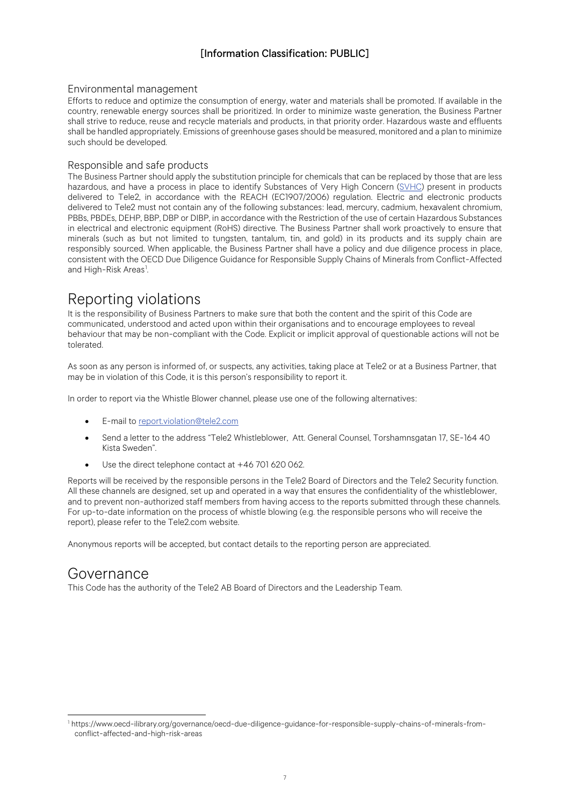## <span id="page-6-0"></span>Environmental management

Efforts to reduce and optimize the consumption of energy, water and materials shall be promoted. If available in the country, renewable energy sources shall be prioritized. In order to minimize waste generation, the Business Partner shall strive to reduce, reuse and recycle materials and products, in that priority order. Hazardous waste and effluents shall be handled appropriately. Emissions of greenhouse gases should be measured, monitored and a plan to minimize such should be developed.

## <span id="page-6-1"></span>Responsible and safe products

The Business Partner should apply the substitution principle for chemicals that can be replaced by those that are less hazardous, and have a process in place to identify Substances of Very High Concern [\(SVHC\)](https://echa.europa.eu/candidate-list-table?p_p_id=disslists_WAR_disslistsportlet&p_p_lifecycle=0&p_p_state=normal&p_p_mode=view&p_p_col_id=column-1&p_p_col_pos=2&p_p_col_count=3&_disslists_WAR_disslistsportlet_keywords=&_disslists_WAR_disslistsportlet_orderByCol=dte_inclusion&_disslists_WAR_disslistsportlet_substance_identifier_field_key=&_disslists_WAR_disslistsportlet_advancedSearch=false&_disslists_WAR_disslistsportlet_deltaParamValue=50&_disslists_WAR_disslistsportlet_andOperator=true&_disslists_WAR_disslistsportlet_haz_detailed_concern=&_disslists_WAR_disslistsportlet_orderByType=desc&_disslists_WAR_disslistsportlet_dte_inclusionFrom=&_disslists_WAR_disslistsportlet_dte_inclusionTo=&_disslists_WAR_disslistsportlet_doSearch=&_disslists_WAR_disslistsportlet_resetCur=false&_disslists_WAR_disslistsportlet_delta=200) present in products delivered to Tele2, in accordance with the REACH (EC1907/2006) regulation. Electric and electronic products delivered to Tele2 must not contain any of the following substances: lead, mercury, cadmium, hexavalent chromium, PBBs, PBDEs, DEHP, BBP, DBP or DIBP, in accordance with the Restriction of the use of certain Hazardous Substances in electrical and electronic equipment (RoHS) directive. The Business Partner shall work proactively to ensure that minerals (such as but not limited to tungsten, tantalum, tin, and gold) in its products and its supply chain are responsibly sourced. When applicable, the Business Partner shall have a policy and due diligence process in place, consistent with the OECD Due Diligence Guidance for Responsible Supply Chains of Minerals from Conflict-Affected and High-Risk Areas<sup>[1](#page-6-4)</sup>. .

# <span id="page-6-2"></span>Reporting violations

It is the responsibility of Business Partners to make sure that both the content and the spirit of this Code are communicated, understood and acted upon within their organisations and to encourage employees to reveal behaviour that may be non-compliant with the Code. Explicit or implicit approval of questionable actions will not be tolerated.

As soon as any person is informed of, or suspects, any activities, taking place at Tele2 or at a Business Partner, that may be in violation of this Code, it is this person's responsibility to report it.

In order to report via the Whistle Blower channel, please use one of the following alternatives:

- E-mail to [report.violation@tele2.com](mailto:report.violation@tele2.com)
- Send a letter to the address "Tele2 Whistleblower, Att. General Counsel, Torshamnsgatan 17, SE-164 40 Kista Sweden".
- Use the direct telephone contact at +46 701 620 062.

Reports will be received by the responsible persons in the Tele2 Board of Directors and the Tele2 Security function. All these channels are designed, set up and operated in a way that ensures the confidentiality of the whistleblower, and to prevent non-authorized staff members from having access to the reports submitted through these channels. For up-to-date information on the process of whistle blowing (e.g. the responsible persons who will receive the report), please refer to the Tele2.com website.

Anonymous reports will be accepted, but contact details to the reporting person are appreciated.

## <span id="page-6-3"></span>Governance

This Code has the authority of the Tele2 AB Board of Directors and the Leadership Team.

<span id="page-6-4"></span><sup>1</sup> [https://www.oecd-ilibrary.org/governance/oecd-due-diligence-guidance-for-responsible-supply-chains-of-minerals-from](https://www.oecd-ilibrary.org/governance/oecd-due-diligence-guidance-for-responsible-supply-chains-of-minerals-from-conflict-affected-and-high-risk-areas/oecd-due-diligence-guidance-for-responsible-supply-chains-of-minerals-from-conflict-affected-)[conflict-affected-and-high-risk-areas](https://www.oecd-ilibrary.org/governance/oecd-due-diligence-guidance-for-responsible-supply-chains-of-minerals-from-conflict-affected-and-high-risk-areas/oecd-due-diligence-guidance-for-responsible-supply-chains-of-minerals-from-conflict-affected-)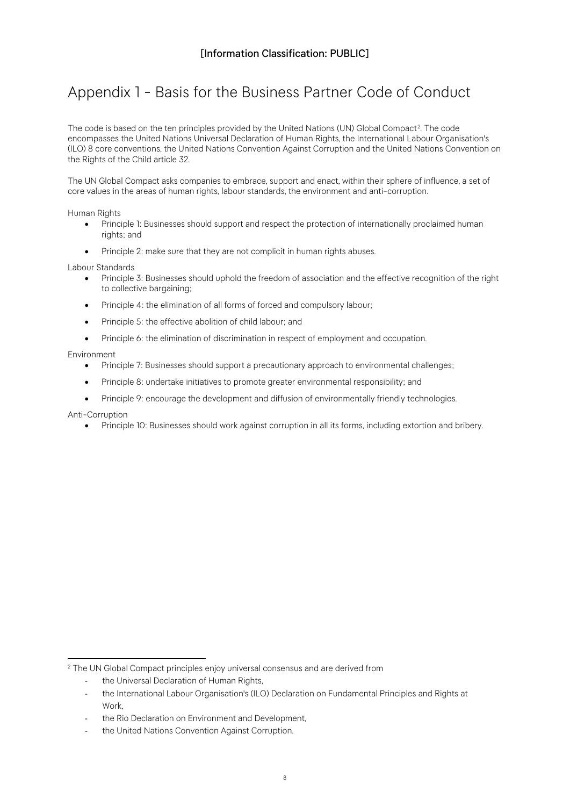# <span id="page-7-0"></span>Appendix 1 - Basis for the Business Partner Code of Conduct

The code is based on the ten principles provided by the United Nations (UN) Global Compact<sup>[2](#page-7-1)</sup>. The code encompasses the United Nations Universal Declaration of Human Rights, the International Labour Organisation's (ILO) 8 core conventions, the United Nations Convention Against Corruption and the United Nations Convention on the Rights of the Child article 32.

The UN Global Compact asks companies to embrace, support and enact, within their sphere of influence, a set of core values in the areas of human rights, labour standards, the environment and anti-corruption.

Human Rights

- Principle 1: Businesses should support and respect the protection of internationally proclaimed human rights; and
- Principle 2: make sure that they are not complicit in human rights abuses.

Labour Standards

- Principle 3: Businesses should uphold the freedom of association and the effective recognition of the right to collective bargaining;
- Principle 4: the elimination of all forms of forced and compulsory labour;
- Principle 5: the effective abolition of child labour; and
- Principle 6: the elimination of discrimination in respect of employment and occupation.

#### Environment

- Principle 7: Businesses should support a precautionary approach to environmental challenges;
- Principle 8: undertake initiatives to promote greater environmental responsibility; and
- Principle 9: encourage the development and diffusion of environmentally friendly technologies.

Anti-Corruption

• Principle 10: Businesses should work against corruption in all its forms, including extortion and bribery.

the Universal Declaration of Human Rights,

<span id="page-7-1"></span><sup>&</sup>lt;sup>2</sup> The UN Global Compact principles enjoy universal consensus and are derived from

the International Labour Organisation's (ILO) Declaration on Fundamental Principles and Rights at Work,

the Rio Declaration on Environment and Development,

the United Nations Convention Against Corruption.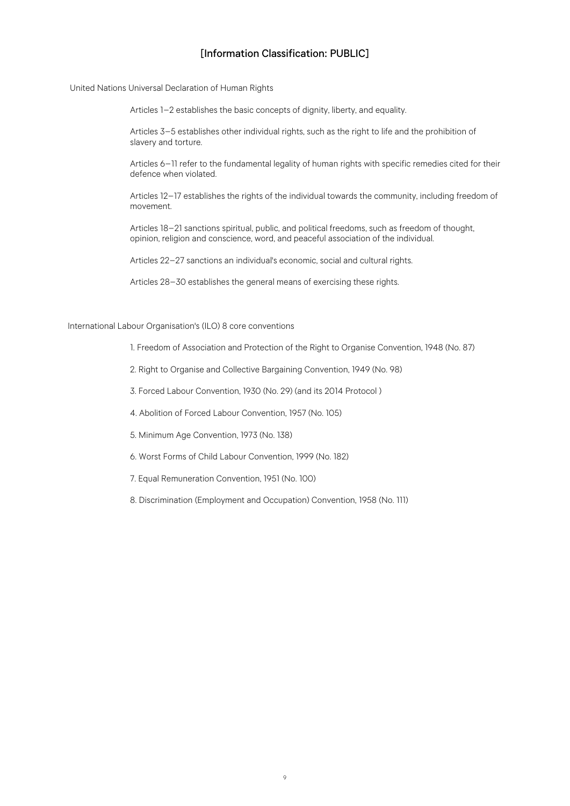United Nations Universal Declaration of Human Rights

Articles 1–2 establishes the basic concepts of dignity, liberty, and equality.

Articles 3–5 establishes other individual rights, such as the right to life and the prohibition of slavery and torture.

Articles 6–11 refer to the fundamental legality of human rights with specific remedies cited for their defence when violated.

Articles 12–17 establishes the rights of the individual towards the community, including freedom of movement.

Articles 18–21 sanctions spiritual, public, and political freedoms, such as freedom of thought, opinion, religion and conscience, word, and peaceful association of the individual.

Articles 22–27 sanctions an individual's economic, social and cultural rights.

Articles 28–30 establishes the general means of exercising these rights.

International Labour Organisation's (ILO) 8 core conventions

1. Freedom of Association and Protection of the Right to Organise Convention, 1948 (No. 87)

2. Right to Organise and Collective Bargaining Convention, 1949 (No. 98)

3. Forced Labour Convention, 1930 (No. 29) (and its 2014 Protocol )

4. Abolition of Forced Labour Convention, 1957 (No. 105)

5. Minimum Age Convention, 1973 (No. 138)

6. Worst Forms of Child Labour Convention, 1999 (No. 182)

7. Equal Remuneration Convention, 1951 (No. 100)

8. Discrimination (Employment and Occupation) Convention, 1958 (No. 111)